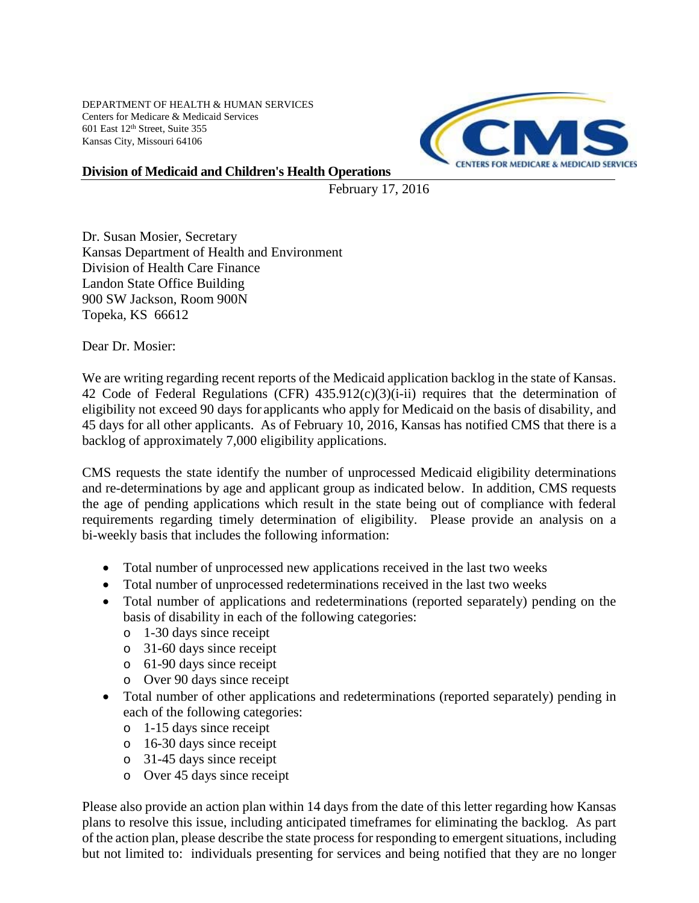DEPARTMENT OF HEALTH & HUMAN SERVICES Centers for Medicare & Medicaid Services 601 East 12th Street, Suite 355 Kansas City, Missouri 64106



## **Division of Medicaid and Children's Health Operations**

February 17, 2016

Dr. Susan Mosier, Secretary Kansas Department of Health and Environment Division of Health Care Finance Landon State Office Building 900 SW Jackson, Room 900N Topeka, KS 66612

Dear Dr. Mosier:

We are writing regarding recent reports of the Medicaid application backlog in the state of Kansas. 42 Code of Federal Regulations (CFR) 435.912(c)(3)(i-ii) requires that the determination of eligibility not exceed 90 days for applicants who apply for Medicaid on the basis of disability, and 45 days for all other applicants. As of February 10, 2016, Kansas has notified CMS that there is a backlog of approximately 7,000 eligibility applications.

CMS requests the state identify the number of unprocessed Medicaid eligibility determinations and re-determinations by age and applicant group as indicated below. In addition, CMS requests the age of pending applications which result in the state being out of compliance with federal requirements regarding timely determination of eligibility. Please provide an analysis on a bi-weekly basis that includes the following information:

- Total number of unprocessed new applications received in the last two weeks
- Total number of unprocessed redeterminations received in the last two weeks
- Total number of applications and redeterminations (reported separately) pending on the basis of disability in each of the following categories:
	- o 1-30 days since receipt
	- o 31-60 days since receipt
	- o 61-90 days since receipt
	- o Over 90 days since receipt
- Total number of other applications and redeterminations (reported separately) pending in each of the following categories:
	- o 1-15 days since receipt
	- o 16-30 days since receipt
	- o 31-45 days since receipt
	- o Over 45 days since receipt

Please also provide an action plan within 14 days from the date of this letter regarding how Kansas plans to resolve this issue, including anticipated timeframes for eliminating the backlog. As part of the action plan, please describe the state process for responding to emergent situations, including but not limited to: individuals presenting for services and being notified that they are no longer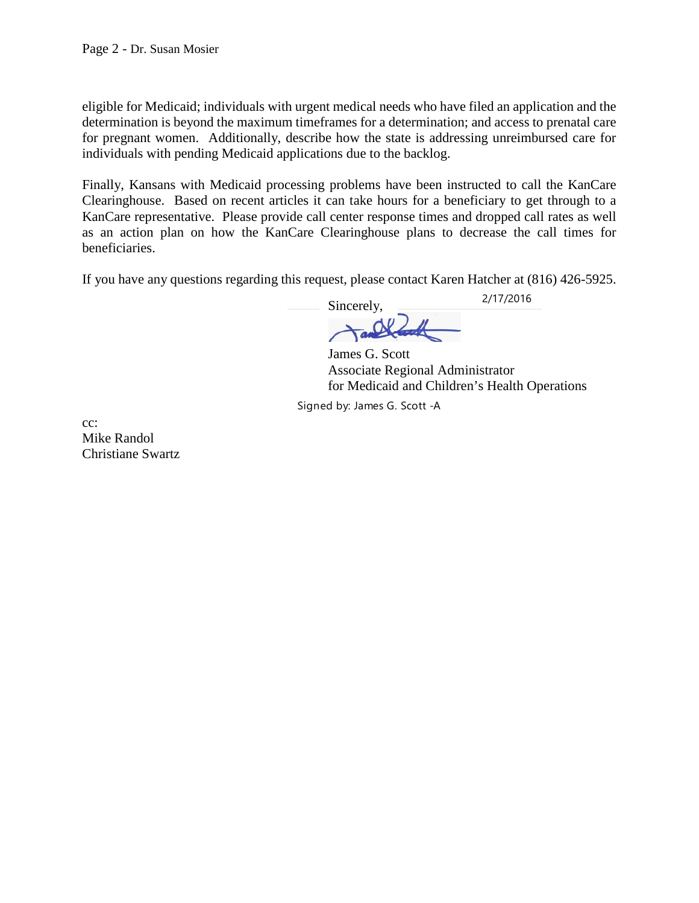eligible for Medicaid; individuals with urgent medical needs who have filed an application and the determination is beyond the maximum timeframes for a determination; and access to prenatal care for pregnant women. Additionally, describe how the state is addressing unreimbursed care for individuals with pending Medicaid applications due to the backlog.

Finally, Kansans with Medicaid processing problems have been instructed to call the KanCare Clearinghouse. Based on recent articles it can take hours for a beneficiary to get through to a KanCare representative. Please provide call center response times and dropped call rates as well as an action plan on how the KanCare Clearinghouse plans to decrease the call times for beneficiaries.

If you have any questions regarding this request, please contact Karen Hatcher at (816) 426-5925.

Sincerely,

2/17/2016

James G. Scott Associate Regional Administrator for Medicaid and Children's Health Operations

Signed by: James G. Scott -A

cc: Mike Randol Christiane Swartz